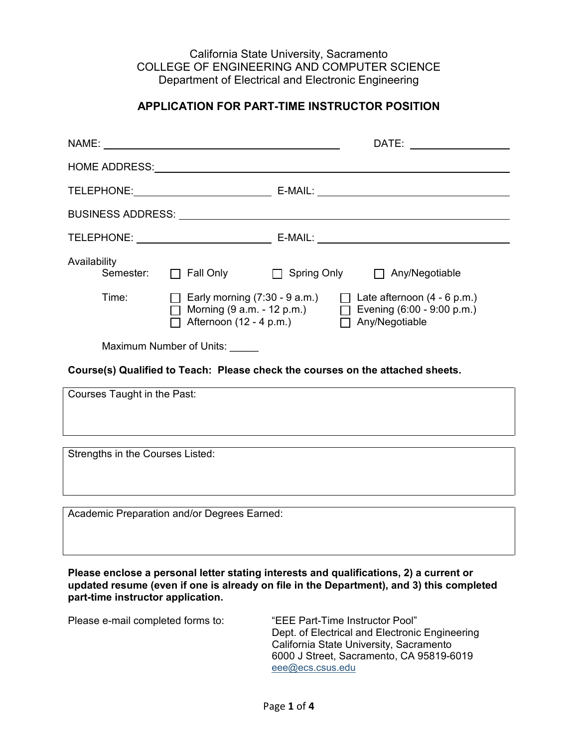California State University, Sacramento COLLEGE OF ENGINEERING AND COMPUTER SCIENCE Department of Electrical and Electronic Engineering

## **APPLICATION FOR PART-TIME INSTRUCTOR POSITION**

|                                                                                                                                                                                                                         |                                                                                                                              |  | DATE: the contract of the contract of the contract of the contract of the contract of the contract of the contract of the contract of the contract of the contract of the contract of the contract of the contract of the cont |  |  |
|-------------------------------------------------------------------------------------------------------------------------------------------------------------------------------------------------------------------------|------------------------------------------------------------------------------------------------------------------------------|--|--------------------------------------------------------------------------------------------------------------------------------------------------------------------------------------------------------------------------------|--|--|
|                                                                                                                                                                                                                         |                                                                                                                              |  |                                                                                                                                                                                                                                |  |  |
|                                                                                                                                                                                                                         |                                                                                                                              |  |                                                                                                                                                                                                                                |  |  |
| BUSINESS ADDRESS: University of the University of the University of the University of the University of the U                                                                                                           |                                                                                                                              |  |                                                                                                                                                                                                                                |  |  |
|                                                                                                                                                                                                                         |                                                                                                                              |  |                                                                                                                                                                                                                                |  |  |
| Availability<br>Semester:                                                                                                                                                                                               |                                                                                                                              |  | □ Fall Only □ Spring Only □ Any/Negotiable                                                                                                                                                                                     |  |  |
| Time:                                                                                                                                                                                                                   | $\Box$ Early morning (7:30 - 9 a.m.)<br>$\overrightarrow{\Box}$ Morning (9 a.m. - 12 p.m.)<br>$\Box$ Afternoon (12 - 4 p.m.) |  | $\Box$ Late afternoon (4 - 6 p.m.)<br>$\Box$ Evening (6:00 - 9:00 p.m.)<br>Any/Negotiable                                                                                                                                      |  |  |
| Maximum Number of Units:                                                                                                                                                                                                |                                                                                                                              |  |                                                                                                                                                                                                                                |  |  |
| Course(s) Qualified to Teach: Please check the courses on the attached sheets.                                                                                                                                          |                                                                                                                              |  |                                                                                                                                                                                                                                |  |  |
| Courses Taught in the Past:                                                                                                                                                                                             |                                                                                                                              |  |                                                                                                                                                                                                                                |  |  |
| Strengths in the Courses Listed:                                                                                                                                                                                        |                                                                                                                              |  |                                                                                                                                                                                                                                |  |  |
|                                                                                                                                                                                                                         |                                                                                                                              |  |                                                                                                                                                                                                                                |  |  |
|                                                                                                                                                                                                                         | Academic Preparation and/or Degrees Earned:                                                                                  |  |                                                                                                                                                                                                                                |  |  |
|                                                                                                                                                                                                                         |                                                                                                                              |  |                                                                                                                                                                                                                                |  |  |
| Please enclose a personal letter stating interests and qualifications, 2) a current or<br>updated resume (even if one is already on file in the Department), and 3) this completed<br>part-time instructor application. |                                                                                                                              |  |                                                                                                                                                                                                                                |  |  |

Please e-mail completed forms to: "EEE Part-Time Instructor Pool" Dept. of Electrical and Electronic Engineering California State University, Sacramento 6000 J Street, Sacramento, CA 95819-6019 [eee@ecs.csus.edu](mailto:eee@ecs.csus.edu)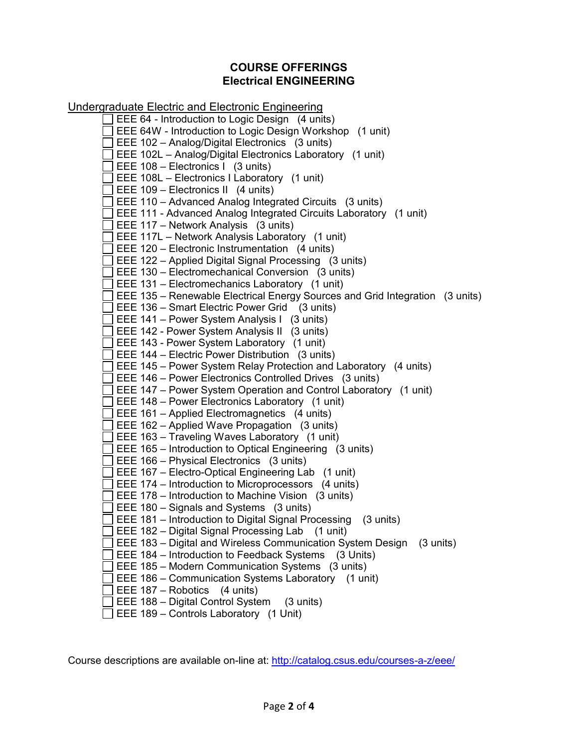## **COURSE OFFERINGS Electrical ENGINEERING**

Undergraduate Electric and Electronic Engineering EEE 64 - Introduction to Logic Design (4 units)  $\Box$  EEE 64W - Introduction to Logic Design Workshop (1 unit)  $\Box$  EEE 102 – Analog/Digital Electronics (3 units)  $\Box$  EEE 102L – Analog/Digital Electronics Laboratory (1 unit)  $\Box$  EEE 108 – Electronics I (3 units)  $\Box$  EEE 108L – Electronics I Laboratory (1 unit)  $\Box$  EEE 109 – Electronics II (4 units)  $\Box$  EEE 110 – Advanced Analog Integrated Circuits (3 units) EEE 111 - Advanced Analog Integrated Circuits Laboratory (1 unit)  $\Box$  EEE 117 – Network Analysis (3 units)  $\Box$  EEE 117L – Network Analysis Laboratory (1 unit)  $\Box$  EEE 120 – Electronic Instrumentation (4 units)  $\Box$  EEE 122 – Applied Digital Signal Processing (3 units)  $\Box$  EEE 130 – Electromechanical Conversion (3 units)  $\Box$  EEE 131 – Electromechanics Laboratory (1 unit)  $\Box$  EEE 135 – Renewable Electrical Energy Sources and Grid Integration (3 units)  $\Box$  EEE 136 – Smart Electric Power Grid (3 units)  $\Box$  EEE 141 – Power System Analysis I (3 units)  $\Box$  EEE 142 - Power System Analysis II (3 units)  $\Box$  EEE 143 - Power System Laboratory (1 unit)  $\Box$  EEE 144 – Electric Power Distribution (3 units)  $\Box$  EEE 145 – Power System Relay Protection and Laboratory (4 units)  $\Box$  EEE 146 – Power Electronics Controlled Drives (3 units)  $\Box$  EEE 147 – Power System Operation and Control Laboratory (1 unit)  $\Box$  EEE 148 – Power Electronics Laboratory (1 unit)  $\Box$  EEE 161 – Applied Electromagnetics (4 units)  $\Box$  EEE 162 – Applied Wave Propagation (3 units)  $\Box$  EEE 163 – Traveling Waves Laboratory (1 unit)  $\Box$  EEE 165 – Introduction to Optical Engineering (3 units)  $\Box$  EEE 166 – Physical Electronics (3 units)  $\Box$  EEE 167 – Electro-Optical Engineering Lab (1 unit)  $\Box$  EEE 174 – Introduction to Microprocessors (4 units)  $\Box$  EEE 178 – Introduction to Machine Vision (3 units)  $\Box$  EEE 180 – Signals and Systems (3 units)  $\Box$  EEE 181 – Introduction to Digital Signal Processing (3 units)  $\Box$  EEE 182 – Digital Signal Processing Lab (1 unit)  $\Box$  EEE 183 – Digital and Wireless Communication System Design (3 units)  $\Box$  EEE 184 – Introduction to Feedback Systems (3 Units)  $\Box$  EEE 185 – Modern Communication Systems (3 units)  $\Box$  EEE 186 – Communication Systems Laboratory (1 unit)  $\Box$  EEE 187 – Robotics (4 units)  $\Box$  EEE 188 – Digital Control System (3 units)  $\Box$  EEE 189 – Controls Laboratory (1 Unit)

Course descriptions are available on-line at:<http://catalog.csus.edu/courses-a-z/eee/>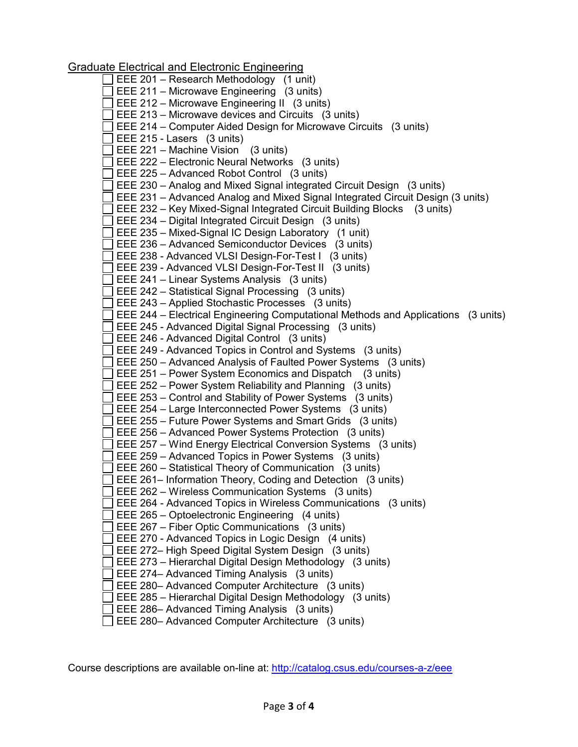Graduate Electrical and Electronic Engineering

|  | <u>ale Electrical and Electronic Engineering</u>                                  |
|--|-----------------------------------------------------------------------------------|
|  | EEE 201 - Research Methodology (1 unit)                                           |
|  | EEE 211 - Microwave Engineering (3 units)                                         |
|  | EEE 212 - Microwave Engineering II (3 units)                                      |
|  | EEE 213 – Microwave devices and Circuits (3 units)                                |
|  | EEE 214 – Computer Aided Design for Microwave Circuits (3 units)                  |
|  | EEE 215 - Lasers (3 units)                                                        |
|  | EEE 221 - Machine Vision (3 units)                                                |
|  | EEE 222 - Electronic Neural Networks (3 units)                                    |
|  | EEE 225 - Advanced Robot Control (3 units)                                        |
|  |                                                                                   |
|  | EEE 230 – Analog and Mixed Signal integrated Circuit Design (3 units)             |
|  | EEE 231 - Advanced Analog and Mixed Signal Integrated Circuit Design (3 units)    |
|  | EEE 232 - Key Mixed-Signal Integrated Circuit Building Blocks (3 units)           |
|  | EEE 234 – Digital Integrated Circuit Design (3 units)                             |
|  | EEE 235 - Mixed-Signal IC Design Laboratory (1 unit)                              |
|  | EEE 236 - Advanced Semiconductor Devices (3 units)                                |
|  | EEE 238 - Advanced VLSI Design-For-Test I (3 units)                               |
|  | EEE 239 - Advanced VLSI Design-For-Test II (3 units)                              |
|  | EEE 241 - Linear Systems Analysis (3 units)                                       |
|  | EEE 242 - Statistical Signal Processing (3 units)                                 |
|  | EEE 243 - Applied Stochastic Processes (3 units)                                  |
|  | EEE 244 – Electrical Engineering Computational Methods and Applications (3 units) |
|  | EEE 245 - Advanced Digital Signal Processing (3 units)                            |
|  | EEE 246 - Advanced Digital Control (3 units)                                      |
|  | EEE 249 - Advanced Topics in Control and Systems (3 units)                        |
|  | EEE 250 - Advanced Analysis of Faulted Power Systems (3 units)                    |
|  | EEE 251 – Power System Economics and Dispatch (3 units)                           |
|  | EEE 252 – Power System Reliability and Planning (3 units)                         |
|  | EEE 253 - Control and Stability of Power Systems (3 units)                        |
|  | EEE 254 – Large Interconnected Power Systems (3 units)                            |
|  | EEE 255 – Future Power Systems and Smart Grids (3 units)                          |
|  | EEE 256 - Advanced Power Systems Protection (3 units)                             |
|  |                                                                                   |
|  | EEE 257 - Wind Energy Electrical Conversion Systems (3 units)                     |
|  | EEE 259 - Advanced Topics in Power Systems (3 units)                              |
|  | EEE 260 - Statistical Theory of Communication (3 units)                           |
|  | EEE 261– Information Theory, Coding and Detection (3 units)                       |
|  | EEE 262 – Wireless Communication Systems (3 units)                                |
|  | EEE 264 - Advanced Topics in Wireless Communications (3 units)                    |
|  | EEE 265 - Optoelectronic Engineering (4 units)                                    |
|  | EEE 267 – Fiber Optic Communications (3 units)                                    |
|  | EEE 270 - Advanced Topics in Logic Design (4 units)                               |
|  | EEE 272– High Speed Digital System Design (3 units)                               |
|  | EEE 273 - Hierarchal Digital Design Methodology (3 units)                         |
|  | EEE 274– Advanced Timing Analysis (3 units)                                       |
|  | EEE 280- Advanced Computer Architecture (3 units)                                 |
|  | EEE 285 - Hierarchal Digital Design Methodology (3 units)                         |
|  | EEE 286- Advanced Timing Analysis (3 units)                                       |
|  |                                                                                   |

EEE 280– Advanced Computer Architecture (3 units)

Course descriptions are available on-line at:<http://catalog.csus.edu/courses-a-z/eee>